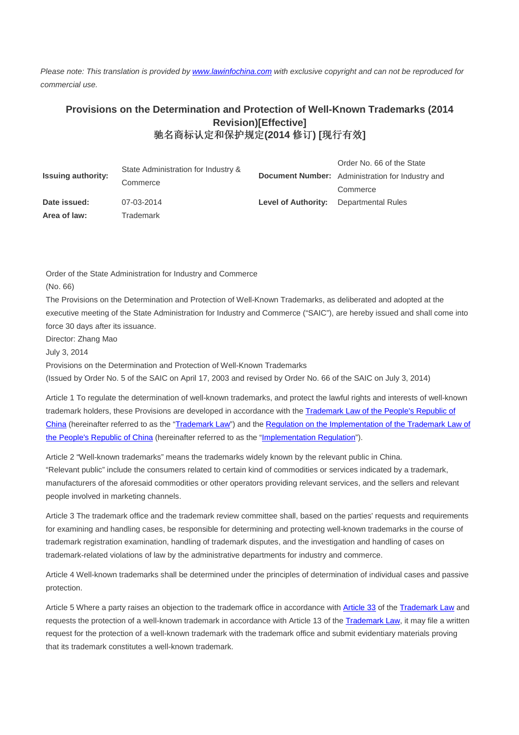Please note: This translation is provided by www.lawinfochina.com with exclusive copyright and can not be reproduced for commercial use.

## **Provisions on the Determination and Protection of Well-Known Trademarks (2014 Revision)[Effective]**  驰名商标认定和保护规定**(2014** 修订**) [**现行有效**]**

| <b>Issuing authority:</b> | State Administration for Industry &<br>Commerce |                            | Order No. 66 of the State<br><b>Document Number:</b> Administration for Industry and<br>Commerce |
|---------------------------|-------------------------------------------------|----------------------------|--------------------------------------------------------------------------------------------------|
| Date issued:              | 07-03-2014                                      | <b>Level of Authority:</b> | <b>Departmental Rules</b>                                                                        |
| Area of law:              | Trademark                                       |                            |                                                                                                  |

Order of the State Administration for Industry and Commerce

(No. 66)

The Provisions on the Determination and Protection of Well-Known Trademarks, as deliberated and adopted at the executive meeting of the State Administration for Industry and Commerce ("SAIC"), are hereby issued and shall come into force 30 days after its issuance.

Director: Zhang Mao

July 3, 2014

Provisions on the Determination and Protection of Well-Known Trademarks

(Issued by Order No. 5 of the SAIC on April 17, 2003 and revised by Order No. 66 of the SAIC on July 3, 2014)

Article 1 To regulate the determination of well-known trademarks, and protect the lawful rights and interests of well-known trademark holders, these Provisions are developed in accordance with the Trademark Law of the People's Republic of China (hereinafter referred to as the "Trademark Law") and the Regulation on the Implementation of the Trademark Law of the People's Republic of China (hereinafter referred to as the "Implementation Regulation").

Article 2 "Well-known trademarks" means the trademarks widely known by the relevant public in China. "Relevant public" include the consumers related to certain kind of commodities or services indicated by a trademark, manufacturers of the aforesaid commodities or other operators providing relevant services, and the sellers and relevant people involved in marketing channels.

Article 3 The trademark office and the trademark review committee shall, based on the parties' requests and requirements for examining and handling cases, be responsible for determining and protecting well-known trademarks in the course of trademark registration examination, handling of trademark disputes, and the investigation and handling of cases on trademark-related violations of law by the administrative departments for industry and commerce.

Article 4 Well-known trademarks shall be determined under the principles of determination of individual cases and passive protection.

Article 5 Where a party raises an objection to the trademark office in accordance with Article 33 of the Trademark Law and requests the protection of a well-known trademark in accordance with Article 13 of the Trademark Law, it may file a written request for the protection of a well-known trademark with the trademark office and submit evidentiary materials proving that its trademark constitutes a well-known trademark.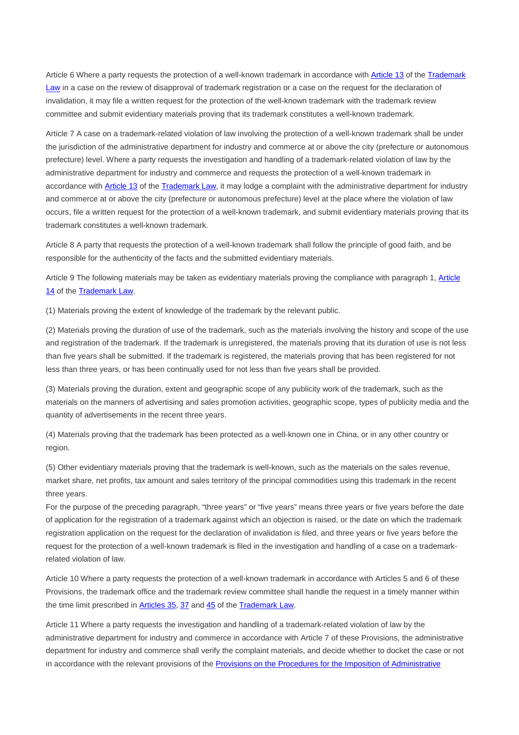Article 6 Where a party requests the protection of a well-known trademark in accordance with Article 13 of the Trademark Law in a case on the review of disapproval of trademark registration or a case on the request for the declaration of invalidation, it may file a written request for the protection of the well-known trademark with the trademark review committee and submit evidentiary materials proving that its trademark constitutes a well-known trademark.

Article 7 A case on a trademark-related violation of law involving the protection of a well-known trademark shall be under the jurisdiction of the administrative department for industry and commerce at or above the city (prefecture or autonomous prefecture) level. Where a party requests the investigation and handling of a trademark-related violation of law by the administrative department for industry and commerce and requests the protection of a well-known trademark in accordance with Article 13 of the Trademark Law, it may lodge a complaint with the administrative department for industry and commerce at or above the city (prefecture or autonomous prefecture) level at the place where the violation of law occurs, file a written request for the protection of a well-known trademark, and submit evidentiary materials proving that its trademark constitutes a well-known trademark.

Article 8 A party that requests the protection of a well-known trademark shall follow the principle of good faith, and be responsible for the authenticity of the facts and the submitted evidentiary materials.

Article 9 The following materials may be taken as evidentiary materials proving the compliance with paragraph 1, Article 14 of the Trademark Law.

(1) Materials proving the extent of knowledge of the trademark by the relevant public.

(2) Materials proving the duration of use of the trademark, such as the materials involving the history and scope of the use and registration of the trademark. If the trademark is unregistered, the materials proving that its duration of use is not less than five years shall be submitted. If the trademark is registered, the materials proving that has been registered for not less than three years, or has been continually used for not less than five years shall be provided.

(3) Materials proving the duration, extent and geographic scope of any publicity work of the trademark, such as the materials on the manners of advertising and sales promotion activities, geographic scope, types of publicity media and the quantity of advertisements in the recent three years.

(4) Materials proving that the trademark has been protected as a well-known one in China, or in any other country or region.

(5) Other evidentiary materials proving that the trademark is well-known, such as the materials on the sales revenue, market share, net profits, tax amount and sales territory of the principal commodities using this trademark in the recent three years.

For the purpose of the preceding paragraph, "three years" or "five years" means three years or five years before the date of application for the registration of a trademark against which an objection is raised, or the date on which the trademark registration application on the request for the declaration of invalidation is filed, and three years or five years before the request for the protection of a well-known trademark is filed in the investigation and handling of a case on a trademarkrelated violation of law.

Article 10 Where a party requests the protection of a well-known trademark in accordance with Articles 5 and 6 of these Provisions, the trademark office and the trademark review committee shall handle the request in a timely manner within the time limit prescribed in Articles 35, 37 and 45 of the Trademark Law.

Article 11 Where a party requests the investigation and handling of a trademark-related violation of law by the administrative department for industry and commerce in accordance with Article 7 of these Provisions, the administrative department for industry and commerce shall verify the complaint materials, and decide whether to docket the case or not in accordance with the relevant provisions of the Provisions on the Procedures for the Imposition of Administrative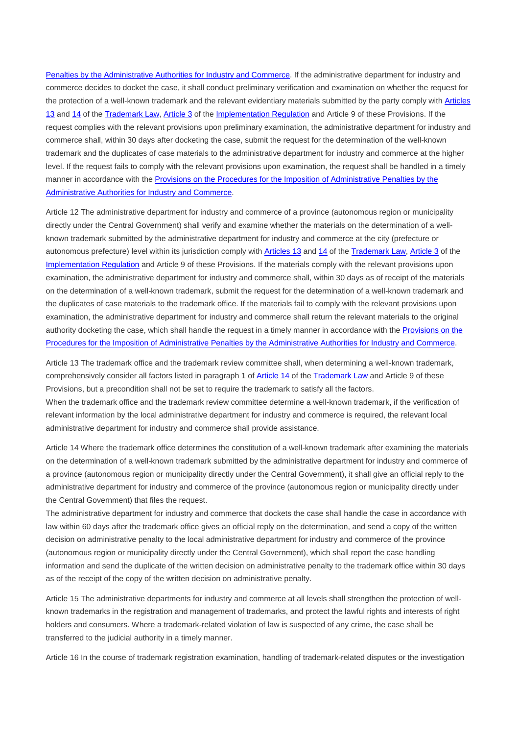Penalties by the Administrative Authorities for Industry and Commerce. If the administrative department for industry and commerce decides to docket the case, it shall conduct preliminary verification and examination on whether the request for the protection of a well-known trademark and the relevant evidentiary materials submitted by the party comply with Articles 13 and 14 of the Trademark Law, Article 3 of the Implementation Regulation and Article 9 of these Provisions. If the request complies with the relevant provisions upon preliminary examination, the administrative department for industry and commerce shall, within 30 days after docketing the case, submit the request for the determination of the well-known trademark and the duplicates of case materials to the administrative department for industry and commerce at the higher level. If the request fails to comply with the relevant provisions upon examination, the request shall be handled in a timely manner in accordance with the Provisions on the Procedures for the Imposition of Administrative Penalties by the Administrative Authorities for Industry and Commerce.

Article 12 The administrative department for industry and commerce of a province (autonomous region or municipality directly under the Central Government) shall verify and examine whether the materials on the determination of a wellknown trademark submitted by the administrative department for industry and commerce at the city (prefecture or autonomous prefecture) level within its jurisdiction comply with Articles 13 and 14 of the Trademark Law, Article 3 of the Implementation Regulation and Article 9 of these Provisions. If the materials comply with the relevant provisions upon examination, the administrative department for industry and commerce shall, within 30 days as of receipt of the materials on the determination of a well-known trademark, submit the request for the determination of a well-known trademark and the duplicates of case materials to the trademark office. If the materials fail to comply with the relevant provisions upon examination, the administrative department for industry and commerce shall return the relevant materials to the original authority docketing the case, which shall handle the request in a timely manner in accordance with the Provisions on the Procedures for the Imposition of Administrative Penalties by the Administrative Authorities for Industry and Commerce.

Article 13 The trademark office and the trademark review committee shall, when determining a well-known trademark, comprehensively consider all factors listed in paragraph 1 of Article 14 of the Trademark Law and Article 9 of these Provisions, but a precondition shall not be set to require the trademark to satisfy all the factors. When the trademark office and the trademark review committee determine a well-known trademark, if the verification of relevant information by the local administrative department for industry and commerce is required, the relevant local administrative department for industry and commerce shall provide assistance.

Article 14 Where the trademark office determines the constitution of a well-known trademark after examining the materials on the determination of a well-known trademark submitted by the administrative department for industry and commerce of a province (autonomous region or municipality directly under the Central Government), it shall give an official reply to the administrative department for industry and commerce of the province (autonomous region or municipality directly under the Central Government) that files the request.

The administrative department for industry and commerce that dockets the case shall handle the case in accordance with law within 60 days after the trademark office gives an official reply on the determination, and send a copy of the written decision on administrative penalty to the local administrative department for industry and commerce of the province (autonomous region or municipality directly under the Central Government), which shall report the case handling information and send the duplicate of the written decision on administrative penalty to the trademark office within 30 days as of the receipt of the copy of the written decision on administrative penalty.

Article 15 The administrative departments for industry and commerce at all levels shall strengthen the protection of wellknown trademarks in the registration and management of trademarks, and protect the lawful rights and interests of right holders and consumers. Where a trademark-related violation of law is suspected of any crime, the case shall be transferred to the judicial authority in a timely manner.

Article 16 In the course of trademark registration examination, handling of trademark-related disputes or the investigation